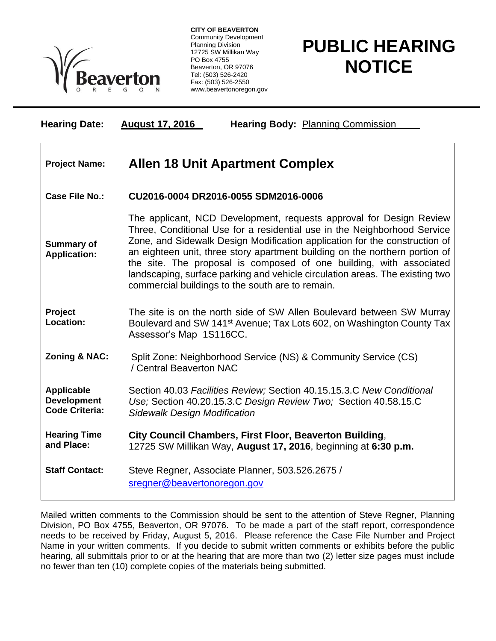

**CITY OF BEAVERTON** Community Development Planning Division 12725 SW Millikan Way PO Box 4755 Beaverton, OR 97076 Tel: (503) 526-2420 Fax: (503) 526-2550 www.beavertonoregon.gov

## **PUBLIC HEARING NOTICE**

| <b>Hearing Date:</b>                                             | <b>Hearing Body: Planning Commission</b><br><b>August 17, 2016</b>                                                                                                                                                                                                                                                                                                                                                                                                                                                      |
|------------------------------------------------------------------|-------------------------------------------------------------------------------------------------------------------------------------------------------------------------------------------------------------------------------------------------------------------------------------------------------------------------------------------------------------------------------------------------------------------------------------------------------------------------------------------------------------------------|
| <b>Project Name:</b>                                             | <b>Allen 18 Unit Apartment Complex</b>                                                                                                                                                                                                                                                                                                                                                                                                                                                                                  |
| <b>Case File No.:</b>                                            | CU2016-0004 DR2016-0055 SDM2016-0006                                                                                                                                                                                                                                                                                                                                                                                                                                                                                    |
| <b>Summary of</b><br><b>Application:</b>                         | The applicant, NCD Development, requests approval for Design Review<br>Three, Conditional Use for a residential use in the Neighborhood Service<br>Zone, and Sidewalk Design Modification application for the construction of<br>an eighteen unit, three story apartment building on the northern portion of<br>the site. The proposal is composed of one building, with associated<br>landscaping, surface parking and vehicle circulation areas. The existing two<br>commercial buildings to the south are to remain. |
| Project<br>Location:                                             | The site is on the north side of SW Allen Boulevard between SW Murray<br>Boulevard and SW 141 <sup>st</sup> Avenue; Tax Lots 602, on Washington County Tax<br>Assessor's Map 1S116CC.                                                                                                                                                                                                                                                                                                                                   |
| <b>Zoning &amp; NAC:</b>                                         | Split Zone: Neighborhood Service (NS) & Community Service (CS)<br>/ Central Beaverton NAC                                                                                                                                                                                                                                                                                                                                                                                                                               |
| <b>Applicable</b><br><b>Development</b><br><b>Code Criteria:</b> | Section 40.03 Facilities Review; Section 40.15.15.3.C New Conditional<br>Use; Section 40.20.15.3.C Design Review Two; Section 40.58.15.C<br><b>Sidewalk Design Modification</b>                                                                                                                                                                                                                                                                                                                                         |
| <b>Hearing Time</b><br>and Place:                                | City Council Chambers, First Floor, Beaverton Building,<br>12725 SW Millikan Way, August 17, 2016, beginning at 6:30 p.m.                                                                                                                                                                                                                                                                                                                                                                                               |
| <b>Staff Contact:</b>                                            | Steve Regner, Associate Planner, 503.526.2675 /<br>sregner@beavertonoregon.gov                                                                                                                                                                                                                                                                                                                                                                                                                                          |

Mailed written comments to the Commission should be sent to the attention of Steve Regner, Planning Division, PO Box 4755, Beaverton, OR 97076. To be made a part of the staff report, correspondence needs to be received by Friday, August 5, 2016. Please reference the Case File Number and Project Name in your written comments. If you decide to submit written comments or exhibits before the public hearing, all submittals prior to or at the hearing that are more than two (2) letter size pages must include no fewer than ten (10) complete copies of the materials being submitted.